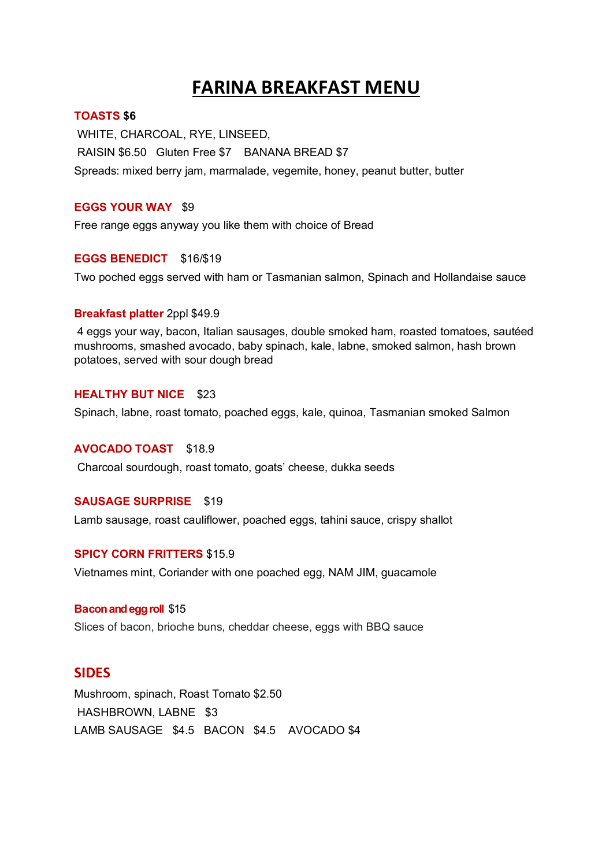## **FARINA BREAKFAST MENU**

#### **TOASTS \$6**

WHITE, CHARCOAL, RYE, LINSEED, RAISIN \$6.50 Gluten Free \$7 BANANA BREAD \$7 Spreads: mixed berry jam, marmalade, vegemite, honey, peanut butter, butter

#### **EGGS YOUR WAY** \$9

Free range eggs anyway you like them with choice of Bread

#### **EGGS BENEDICT** \$16/\$19

Two poched eggs served with ham or Tasmanian salmon, Spinach and Hollandaise sauce

#### **Breakfast platter** 2ppl \$49.9

4 eggs your way, bacon, Italian sausages, double smoked ham, roasted tomatoes, sautéed mushrooms, smashed avocado, baby spinach, kale, labne, smoked salmon, hash brown potatoes, served with sour dough bread

#### **HEALTHY BUT NICE** \$23

Spinach, labne, roast tomato, poached eggs, kale, quinoa, Tasmanian smoked Salmon

#### **AVOCADO TOAST** \$18.9

Charcoal sourdough, roast tomato, goats' cheese, dukka seeds

#### **SAUSAGE SURPRISE** \$19

Lamb sausage, roast cauliflower, poached eggs, tahini sauce, crispy shallot

#### **SPICY CORN FRITTERS** \$15.9

Vietnames mint, Coriander with one poached egg, NAM JIM, guacamole

#### **Baconand egg roll** \$15

Slices of bacon, brioche buns, cheddar cheese, eggs with BBQ sauce

### **SIDES**

Mushroom, spinach, Roast Tomato \$2.50 HASHBROWN, LABNE \$3 LAMB SAUSAGE \$4.5 BACON \$4.5 AVOCADO \$4